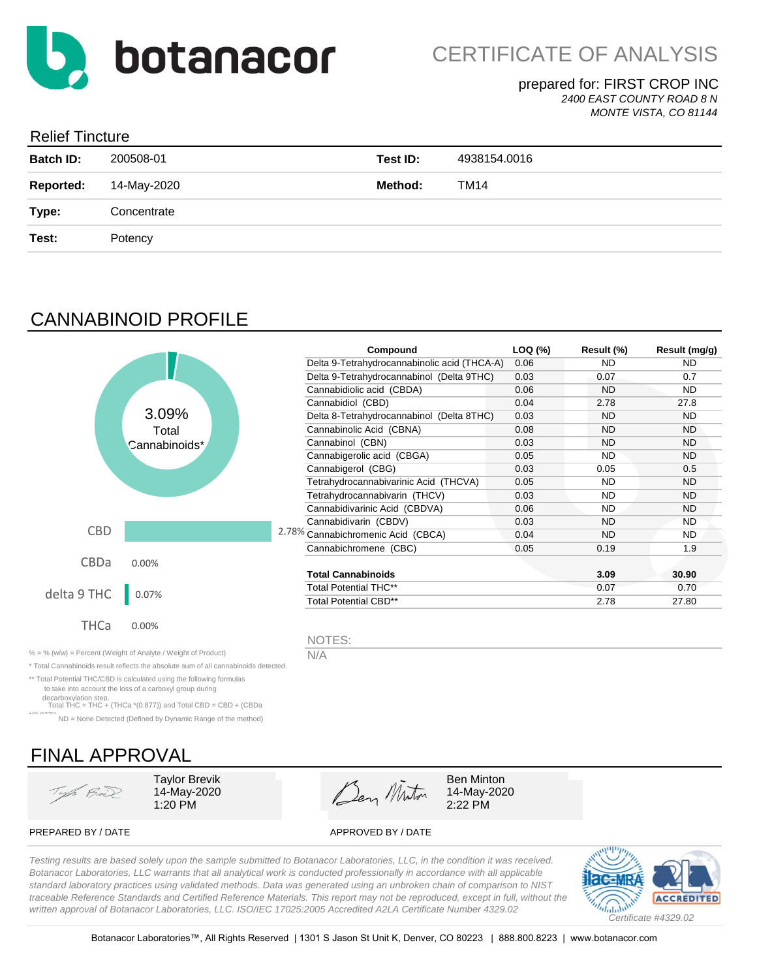

#### prepared for: FIRST CROP INC *2400 EAST COUNTY ROAD 8 N*

*MONTE VISTA, CO 81144*

### Relief Tincture

| <b>Batch ID:</b> | 200508-01   | Test ID: | 4938154.0016 |
|------------------|-------------|----------|--------------|
| <b>Reported:</b> | 14-May-2020 | Method:  | TM14         |
| Type:            | Concentrate |          |              |
| Test:            | Potency     |          |              |
|                  |             |          |              |

# CANNABINOID PROFILE

|             |               |  | Compound                                     | LOQ (%) | Result (%) | Result (mg/g) |
|-------------|---------------|--|----------------------------------------------|---------|------------|---------------|
|             |               |  | Delta 9-Tetrahydrocannabinolic acid (THCA-A) | 0.06    | <b>ND</b>  | ND.           |
|             |               |  | Delta 9-Tetrahydrocannabinol (Delta 9THC)    | 0.03    | 0.07       | 0.7           |
|             |               |  | Cannabidiolic acid (CBDA)                    | 0.06    | <b>ND</b>  | ND.           |
|             |               |  | Cannabidiol (CBD)                            | 0.04    | 2.78       | 27.8          |
|             | 3.09%         |  | Delta 8-Tetrahydrocannabinol (Delta 8THC)    | 0.03    | <b>ND</b>  | ND.           |
|             | Total         |  | Cannabinolic Acid (CBNA)                     | 0.08    | <b>ND</b>  | ND.           |
|             | Cannabinoids* |  | Cannabinol (CBN)                             | 0.03    | <b>ND</b>  | ND.           |
|             |               |  | Cannabigerolic acid (CBGA)                   | 0.05    | <b>ND</b>  | ND.           |
|             |               |  | Cannabigerol (CBG)                           | 0.03    | 0.05       | 0.5           |
|             |               |  | Tetrahydrocannabivarinic Acid (THCVA)        | 0.05    | <b>ND</b>  | <b>ND</b>     |
|             |               |  | Tetrahydrocannabivarin (THCV)                | 0.03    | <b>ND</b>  | <b>ND</b>     |
|             |               |  | Cannabidivarinic Acid (CBDVA)                | 0.06    | <b>ND</b>  | <b>ND</b>     |
|             |               |  | Cannabidivarin (CBDV)                        | 0.03    | <b>ND</b>  | <b>ND</b>     |
| <b>CBD</b>  |               |  | 2.78% Cannabichromenic Acid (CBCA)           | 0.04    | <b>ND</b>  | ND.           |
|             |               |  | Cannabichromene (CBC)                        | 0.05    | 0.19       | 1.9           |
| CBDa        | 0.00%         |  |                                              |         |            |               |
|             |               |  | <b>Total Cannabinoids</b>                    |         | 3.09       | 30.90         |
| delta 9 THC | 0.07%         |  | Total Potential THC**                        |         | 0.07       | 0.70          |
|             |               |  | <b>Total Potential CBD**</b>                 |         | 2.78       | 27.80         |
| <b>THCa</b> | 0.00%         |  | NOTES:                                       |         |            |               |

% = % (w/w) = Percent (Weight of Analyte / Weight of Product)  $N/A$ 

\* Total Cannabinoids result reflects the absolute sum of all cannabinoids detected.

\*\* Total Potential THC/CBD is calculated using the following formulas to take into account the loss of a carboxyl group during

decarboxylation step. Total THC = THC + (THCa \*(0.877)) and Total CBD = CBD + (CBDa

\*(0.877)) ND = None Detected (Defined by Dynamic Range of the method)

# FINAL APPROVAL

Top. Bil

14-May-2020



14-May-2020

PREPARED BY / DATE APPROVED BY / DATE

*Testing results are based solely upon the sample submitted to Botanacor Laboratories, LLC, in the condition it was received. Botanacor Laboratories, LLC warrants that all analytical work is conducted professionally in accordance with all applicable standard laboratory practices using validated methods. Data was generated using an unbroken chain of comparison to NIST traceable Reference Standards and Certified Reference Materials. This report may not be reproduced, except in full, without the written approval of Botanacor Laboratories, LLC. ISO/IEC 17025:2005 Accredited A2LA Certificate Number 4329.02*

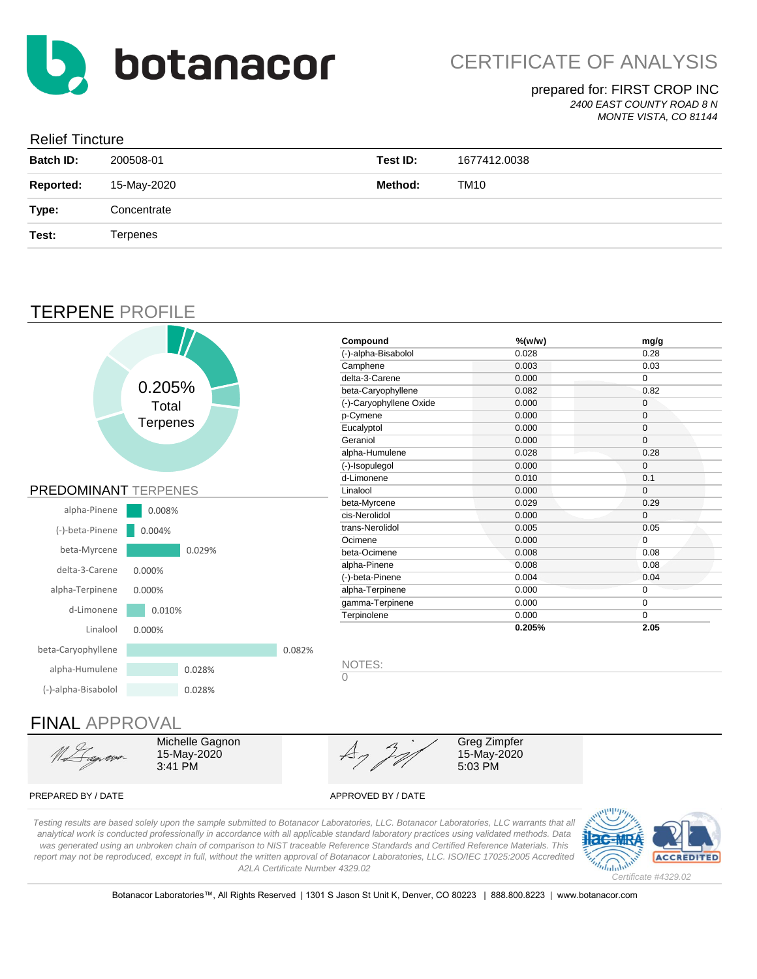

## prepared for: FIRST CROP INC

*2400 EAST COUNTY ROAD 8 N MONTE VISTA, CO 81144*

### Relief Tincture

| <b>Batch ID:</b> | 200508-01   | Test ID: | 1677412.0038 |
|------------------|-------------|----------|--------------|
| <b>Reported:</b> | 15-May-2020 | Method:  | TM10         |
| Type:            | Concentrate |          |              |
| Test:            | Terpenes    |          |              |
|                  |             |          |              |

# TERPENE PROFILE



## FINAL APPROVAL

Michelle Gagnon 15-May-2020 3:41 PM

15-May-2020 5:03 PM Greg Zimpfer

#### PREPARED BY / DATE APPROVED BY / DATE

*Testing results are based solely upon the sample submitted to Botanacor Laboratories, LLC. Botanacor Laboratories, LLC warrants that all analytical work is conducted professionally in accordance with all applicable standard laboratory practices using validated methods. Data was generated using an unbroken chain of comparison to NIST traceable Reference Standards and Certified Reference Materials. This report may not be reproduced, except in full, without the written approval of Botanacor Laboratories, LLC. ISO/IEC 17025:2005 Accredited A2LA Certificate Number 4329.02*



Botanacor Laboratories™, All Rights Reserved | 1301 S Jason St Unit K, Denver, CO 80223 | 888.800.8223 | www.botanacor.com